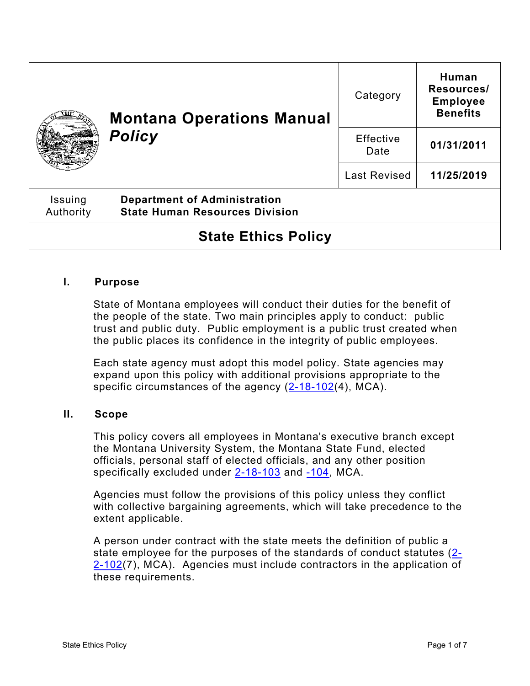|                            | <b>Montana Operations Manual</b><br><b>Policy</b>                            | Category            | Human<br>Resources/<br><b>Employee</b><br><b>Benefits</b> |
|----------------------------|------------------------------------------------------------------------------|---------------------|-----------------------------------------------------------|
|                            |                                                                              | Effective<br>Date   | 01/31/2011                                                |
|                            |                                                                              | <b>Last Revised</b> | 11/25/2019                                                |
| Issuing<br>Authority       | <b>Department of Administration</b><br><b>State Human Resources Division</b> |                     |                                                           |
| <b>State Ethics Policy</b> |                                                                              |                     |                                                           |

### **I. Purpose**

State of Montana employees will conduct their duties for the benefit of the people of the state. Two main principles apply to conduct: public trust and public duty. Public employment is a public trust created when the public places its confidence in the integrity of public employees.

Each state agency must adopt this model policy. State agencies may expand upon this policy with additional provisions appropriate to the specific circumstances of the agency  $(2-18-102(4))$  $(2-18-102(4))$ , MCA).

### **II. Scope**

This policy covers all employees in Montana's executive branch except the Montana University System, the Montana State Fund, elected officials, personal staff of elected officials, and any other position specifically excluded under [2-18-103](https://leg.mt.gov/bills/mca/title_0020/chapter_0020/part_0010/section_0030/0020-0020-0010-0030.html) and [-104,](https://leg.mt.gov/bills/mca/title_0020/chapter_0020/part_0010/section_0040/0020-0020-0010-0040.html) MCA.

Agencies must follow the provisions of this policy unless they conflict with collective bargaining agreements, which will take precedence to the extent applicable.

A person under contract with the state meets the definition of public a state employee for the purposes of the standards of conduct statutes [\(2-](http://leg.mt.gov/bills/mca/title_0020/chapter_0020/part_0010/section_0020/0020-0020-0010-0020.html)  $2-102(7)$  $2-102(7)$ , MCA). Agencies must include contractors in the application of these requirements.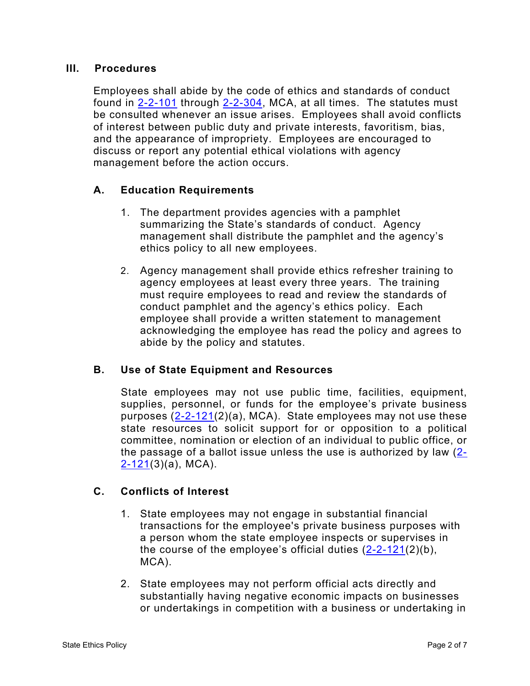#### **III. Procedures**

Employees shall abide by the code of ethics and standards of conduct found in [2-2-101](http://leg.mt.gov/bills/mca/title_0020/chapter_0020/part_0010/section_0010/0020-0020-0010-0010.html) through [2-2-304,](http://leg.mt.gov/bills/mca/title_0020/chapter_0020/part_0030/section_0040/0020-0020-0030-0040.html) MCA, at all times. The statutes must be consulted whenever an issue arises. Employees shall avoid conflicts of interest between public duty and private interests, favoritism, bias, and the appearance of impropriety. Employees are encouraged to discuss or report any potential ethical violations with agency management before the action occurs.

## **A. Education Requirements**

- 1. The department provides agencies with a pamphlet summarizing the State's standards of conduct. Agency management shall distribute the pamphlet and the agency's ethics policy to all new employees.
- 2. Agency management shall provide ethics refresher training to agency employees at least every three years. The training must require employees to read and review the standards of conduct pamphlet and the agency's ethics policy. Each employee shall provide a written statement to management acknowledging the employee has read the policy and agrees to abide by the policy and statutes.

### **B. Use of State Equipment and Resources**

State employees may not use public time, facilities, equipment, supplies, personnel, or funds for the employee's private business purposes [\(2-2-121\(](http://leg.mt.gov/bills/mca/title_0020/chapter_0020/part_0010/section_0210/0020-0020-0010-0210.html)2)(a), MCA). State employees may not use these state resources to solicit support for or opposition to a political committee, nomination or election of an individual to public office, or the passage of a ballot issue unless the use is authorized by law [\(2-](http://leg.mt.gov/bills/mca/title_0020/chapter_0020/part_0010/section_0210/0020-0020-0010-0210.html) [2-121\(](http://leg.mt.gov/bills/mca/title_0020/chapter_0020/part_0010/section_0210/0020-0020-0010-0210.html)3)(a), MCA).

# **C. Conflicts of Interest**

- 1. State employees may not engage in substantial financial transactions for the employee's private business purposes with a person whom the state employee inspects or supervises in the course of the employee's official duties  $(2-2-121(2)(b))$  $(2-2-121(2)(b))$ , MCA).
- 2. State employees may not perform official acts directly and substantially having negative economic impacts on businesses or undertakings in competition with a business or undertaking in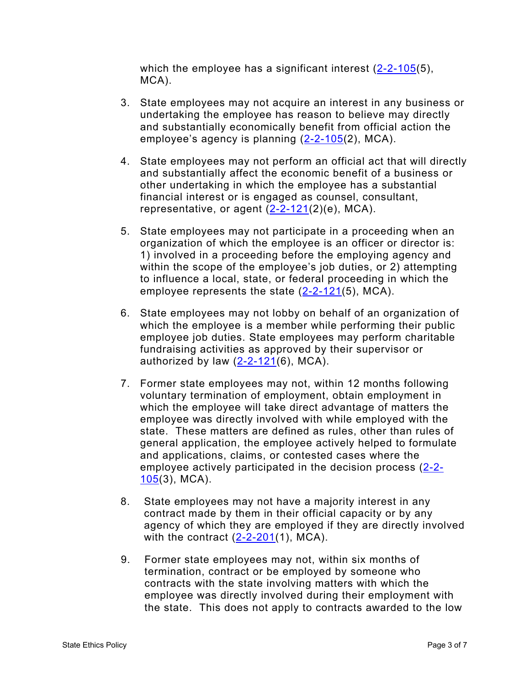which the employee has a significant interest [\(2-2-105\(](http://leg.mt.gov/bills/mca/title_0020/chapter_0020/part_0010/section_0050/0020-0020-0010-0050.html)5), MCA).

- 3. State employees may not acquire an interest in any business or undertaking the employee has reason to believe may directly and substantially economically benefit from official action the employee's agency is planning [\(2-2-105\(](http://leg.mt.gov/bills/mca/title_0020/chapter_0020/part_0010/section_0050/0020-0020-0010-0050.html)2), MCA).
- 4. State employees may not perform an official act that will directly and substantially affect the economic benefit of a business or other undertaking in which the employee has a substantial financial interest or is engaged as counsel, consultant, representative, or agent  $(2-2-121(2)(e), MCA)$  $(2-2-121(2)(e), MCA)$ .
- 5. State employees may not participate in a proceeding when an organization of which the employee is an officer or director is: 1) involved in a proceeding before the employing agency and within the scope of the employee's job duties, or 2) attempting to influence a local, state, or federal proceeding in which the employee represents the state [\(2-2-121\(](http://leg.mt.gov/bills/mca/title_0020/chapter_0020/part_0010/section_0210/0020-0020-0010-0210.html)5), MCA).
- 6. State employees may not lobby on behalf of an organization of which the employee is a member while performing their public employee job duties. State employees may perform charitable fundraising activities as approved by their supervisor or authorized by law  $(2-2-121(6), MCA)$  $(2-2-121(6), MCA)$ .
- 7. Former state employees may not, within 12 months following voluntary termination of employment, obtain employment in which the employee will take direct advantage of matters the employee was directly involved with while employed with the state. These matters are defined as rules, other than rules of general application, the employee actively helped to formulate and applications, claims, or contested cases where the employee actively participated in the decision process [\(2-2-](http://leg.mt.gov/bills/mca/title_0020/chapter_0020/part_0010/section_0050/0020-0020-0010-0050.html)  $105(3)$  $105(3)$ , MCA).
- 8. State employees may not have a majority interest in any contract made by them in their official capacity or by any agency of which they are employed if they are directly involved with the contract  $(2-2-201(1), MCA)$  $(2-2-201(1), MCA)$ .
- 9. Former state employees may not, within six months of termination, contract or be employed by someone who contracts with the state involving matters with which the employee was directly involved during their employment with the state. This does not apply to contracts awarded to the low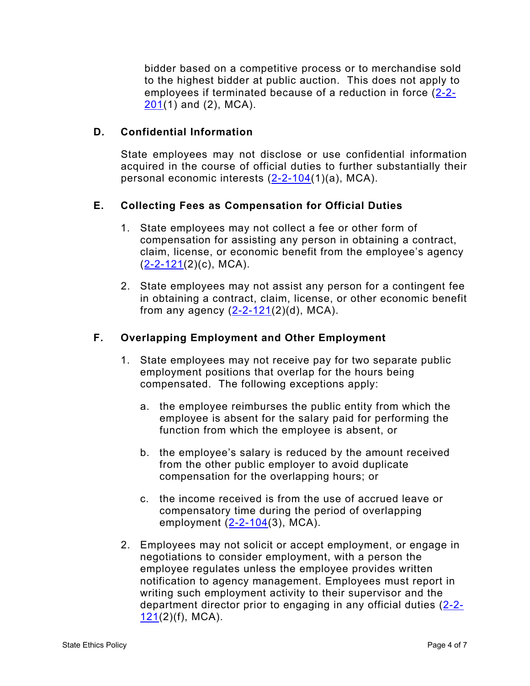bidder based on a competitive process or to merchandise sold to the highest bidder at public auction. This does not apply to employees if terminated because of a reduction in force [\(2-2-](http://leg.mt.gov/bills/mca/title_0020/chapter_0020/part_0020/section_0010/0020-0020-0020-0010.html) [201\(](http://leg.mt.gov/bills/mca/title_0020/chapter_0020/part_0020/section_0010/0020-0020-0020-0010.html)1) and (2), MCA).

## **D. Confidential Information**

State employees may not disclose or use confidential information acquired in the course of official duties to further substantially their personal economic interests [\(2-2-104\(](http://leg.mt.gov/bills/mca/title_0020/chapter_0020/part_0010/section_0040/0020-0020-0010-0040.html)1)(a), MCA).

## **E. Collecting Fees as Compensation for Official Duties**

- 1. State employees may not collect a fee or other form of compensation for assisting any person in obtaining a contract, claim, license, or economic benefit from the employee's agency  $(2-2-121(2)(c), MCA)$  $(2-2-121(2)(c), MCA)$ .
- 2. State employees may not assist any person for a contingent fee in obtaining a contract, claim, license, or other economic benefit from any agency  $(2-2-121(2)(d))$  $(2-2-121(2)(d))$ , MCA).

## **F. Overlapping Employment and Other Employment**

- 1. State employees may not receive pay for two separate public employment positions that overlap for the hours being compensated. The following exceptions apply:
	- a. the employee reimburses the public entity from which the employee is absent for the salary paid for performing the function from which the employee is absent, or
	- b. the employee's salary is reduced by the amount received from the other public employer to avoid duplicate compensation for the overlapping hours; or
	- c. the income received is from the use of accrued leave or compensatory time during the period of overlapping employment  $(2-2-104(3))$  $(2-2-104(3))$ , MCA).
- 2. Employees may not solicit or accept employment, or engage in negotiations to consider employment, with a person the employee regulates unless the employee provides written notification to agency management. Employees must report in writing such employment activity to their supervisor and the department director prior to engaging in any official duties [\(2-2-](http://leg.mt.gov/bills/mca/title_0020/chapter_0020/part_0010/section_0210/0020-0020-0010-0210.html)  $121(2)(f)$  $121(2)(f)$ , MCA).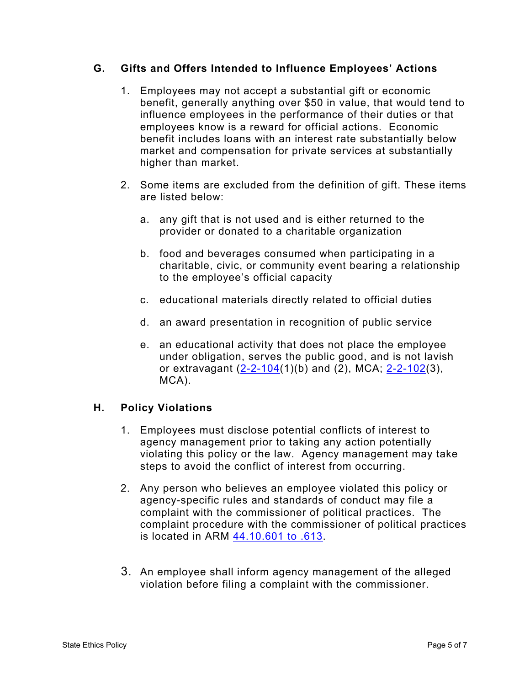## **G. Gifts and Offers Intended to Influence Employees' Actions**

- 1. Employees may not accept a substantial gift or economic benefit, generally anything over \$50 in value, that would tend to influence employees in the performance of their duties or that employees know is a reward for official actions. Economic benefit includes loans with an interest rate substantially below market and compensation for private services at substantially higher than market.
- 2. Some items are excluded from the definition of gift. These items are listed below:
	- a. any gift that is not used and is either returned to the provider or donated to a charitable organization
	- b. food and beverages consumed when participating in a charitable, civic, or community event bearing a relationship to the employee's official capacity
	- c. educational materials directly related to official duties
	- d. an award presentation in recognition of public service
	- e. an educational activity that does not place the employee under obligation, serves the public good, and is not lavish or extravagant [\(2-2-104\(](http://leg.mt.gov/bills/mca/title_0020/chapter_0020/part_0010/section_0040/0020-0020-0010-0040.html)1)(b) and (2), MCA; [2-2-102\(](http://leg.mt.gov/bills/mca/title_0020/chapter_0020/part_0010/section_0020/0020-0020-0010-0020.html)3), MCA).

# **H. Policy Violations**

- 1. Employees must disclose potential conflicts of interest to agency management prior to taking any action potentially violating this policy or the law. Agency management may take steps to avoid the conflict of interest from occurring.
- 2. Any person who believes an employee violated this policy or agency-specific rules and standards of conduct may file a complaint with the commissioner of political practices. The complaint procedure with the commissioner of political practices is located in ARM [44.10.601 to .613.](http://www.mtrules.org/gateway/Subchapterhome.asp?scn=44%2E10.6)
- 3. An employee shall inform agency management of the alleged violation before filing a complaint with the commissioner.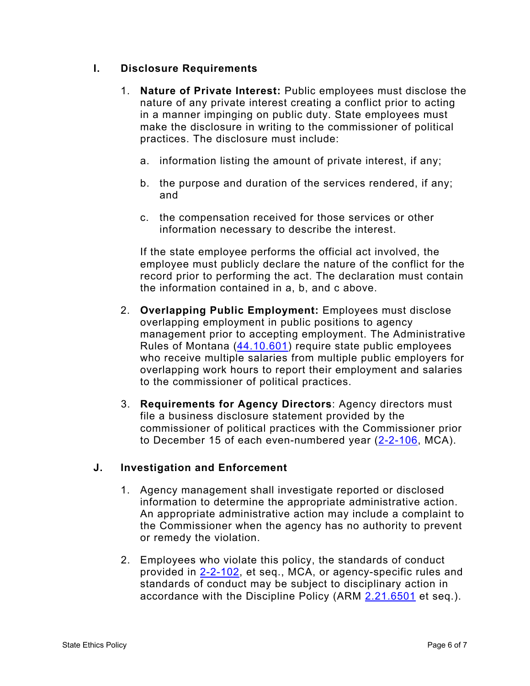## **I. Disclosure Requirements**

- 1. **Nature of Private Interest:** Public employees must disclose the nature of any private interest creating a conflict prior to acting in a manner impinging on public duty. State employees must make the disclosure in writing to the commissioner of political practices. The disclosure must include:
	- a. information listing the amount of private interest, if any;
	- b. the purpose and duration of the services rendered, if any; and
	- c. the compensation received for those services or other information necessary to describe the interest.

If the state employee performs the official act involved, the employee must publicly declare the nature of the conflict for the record prior to performing the act. The declaration must contain the information contained in a, b, and c above.

- 2. **Overlapping Public Employment:** Employees must disclose overlapping employment in public positions to agency management prior to accepting employment. The Administrative Rules of Montana [\(44.10.601\)](http://www.mtrules.org/gateway/RuleNo.asp?RN=44%2E10%2E601) require state public employees who receive multiple salaries from multiple public employers for overlapping work hours to report their employment and salaries to the commissioner of political practices.
- 3. **Requirements for Agency Directors**: Agency directors must file a business disclosure statement provided by the commissioner of political practices with the Commissioner prior to December 15 of each even-numbered year [\(2-2-106,](http://leg.mt.gov/bills/mca/title_0020/chapter_0020/part_0010/section_0060/0020-0020-0010-0060.html) MCA).

# **J. Investigation and Enforcement**

- 1. Agency management shall investigate reported or disclosed information to determine the appropriate administrative action. An appropriate administrative action may include a complaint to the Commissioner when the agency has no authority to prevent or remedy the violation.
- 2. Employees who violate this policy, the standards of conduct provided in [2-2-102,](http://leg.mt.gov/bills/mca/title_0020/chapter_0020/part_0010/section_0020/0020-0020-0010-0020.html) et seq., MCA, or agency-specific rules and standards of conduct may be subject to disciplinary action in accordance with the Discipline Policy (ARM [2.21.6501](http://www.mtrules.org/gateway/Subchapterhome.asp?scn=2%2E21.65) et seq.).